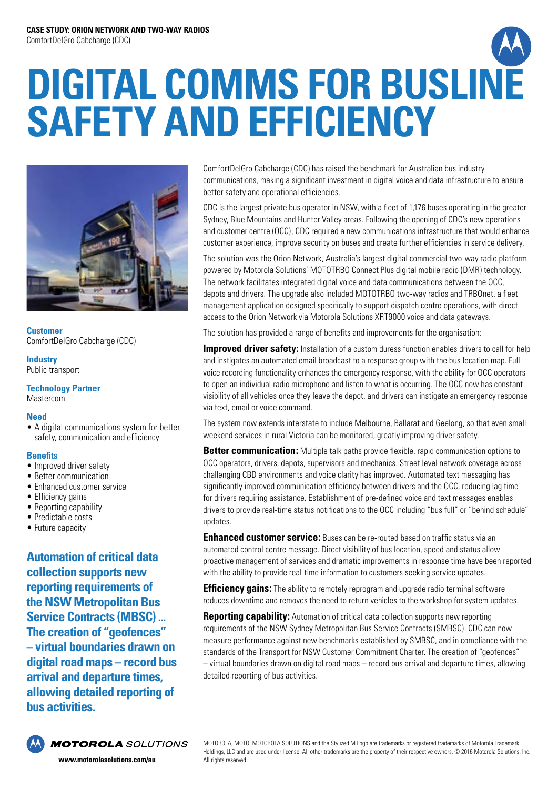# **DIGITAL COMMS FOR BUSLINE SAFETY AND EFFICIENCY**



**Customer** ComfortDelGro Cabcharge (CDC)

### **Industry** Public transport

## **Technology Partner** Mastercom

# **Need**

• A digital communications system for better safety, communication and efficiency

# **Benefits**

- Improved driver safety
- Better communication
- Enhanced customer service
- Efficiency gains
- Reporting capability
- Predictable costs
- Future capacity

**Automation of critical data collection supports new reporting requirements of the NSW Metropolitan Bus Service Contracts (MBSC) ... The creation of "geofences" – virtual boundaries drawn on digital road maps – record bus arrival and departure times, allowing detailed reporting of bus activities.**



**MOTOROLA** SOLUTIONS

ComfortDelGro Cabcharge (CDC) has raised the benchmark for Australian bus industry communications, making a significant investment in digital voice and data infrastructure to ensure better safety and operational efficiencies.

CDC is the largest private bus operator in NSW, with a fleet of 1,176 buses operating in the greater Sydney, Blue Mountains and Hunter Valley areas. Following the opening of CDC's new operations and customer centre (OCC), CDC required a new communications infrastructure that would enhance customer experience, improve security on buses and create further efficiencies in service delivery.

The solution was the Orion Network, Australia's largest digital commercial two-way radio platform powered by Motorola Solutions' MOTOTRBO Connect Plus digital mobile radio (DMR) technology. The network facilitates integrated digital voice and data communications between the OCC, depots and drivers. The upgrade also included MOTOTRBO two-way radios and TRBOnet, a fleet management application designed specifically to support dispatch centre operations, with direct access to the Orion Network via Motorola Solutions XRT9000 voice and data gateways.

The solution has provided a range of benefits and improvements for the organisation:

**Improved driver safety:** Installation of a custom duress function enables drivers to call for help and instigates an automated email broadcast to a response group with the bus location map. Full voice recording functionality enhances the emergency response, with the ability for OCC operators to open an individual radio microphone and listen to what is occurring. The OCC now has constant visibility of all vehicles once they leave the depot, and drivers can instigate an emergency response via text, email or voice command.

The system now extends interstate to include Melbourne, Ballarat and Geelong, so that even small weekend services in rural Victoria can be monitored, greatly improving driver safety.

**Better communication:** Multiple talk paths provide flexible, rapid communication options to OCC operators, drivers, depots, supervisors and mechanics. Street level network coverage across challenging CBD environments and voice clarity has improved. Automated text messaging has significantly improved communication efficiency between drivers and the OCC, reducing lag time for drivers requiring assistance. Establishment of pre-defined voice and text messages enables drivers to provide real-time status notifications to the OCC including "bus full" or "behind schedule" updates.

**Enhanced customer service:** Buses can be re-routed based on traffic status via an automated control centre message. Direct visibility of bus location, speed and status allow proactive management of services and dramatic improvements in response time have been reported with the ability to provide real-time information to customers seeking service updates.

**Efficiency gains:** The ability to remotely reprogram and upgrade radio terminal software reduces downtime and removes the need to return vehicles to the workshop for system updates.

**Reporting capability:** Automation of critical data collection supports new reporting requirements of the NSW Sydney Metropolitan Bus Service Contracts (SMBSC). CDC can now measure performance against new benchmarks established by SMBSC, and in compliance with the standards of the Transport for NSW Customer Commitment Charter. The creation of "geofences" – virtual boundaries drawn on digital road maps – record bus arrival and departure times, allowing detailed reporting of bus activities.

MOTOROLA, MOTO, MOTOROLA SOLUTIONS and the Stylized M Logo are trademarks or registered trademarks of Motorola Trademark Holdings, LLC and are used under license. All other trademarks are the property of their respective owners. © 2016 Motorola Solutions, Inc. All rights reserved.

**www.motorolasolutions.com/au**